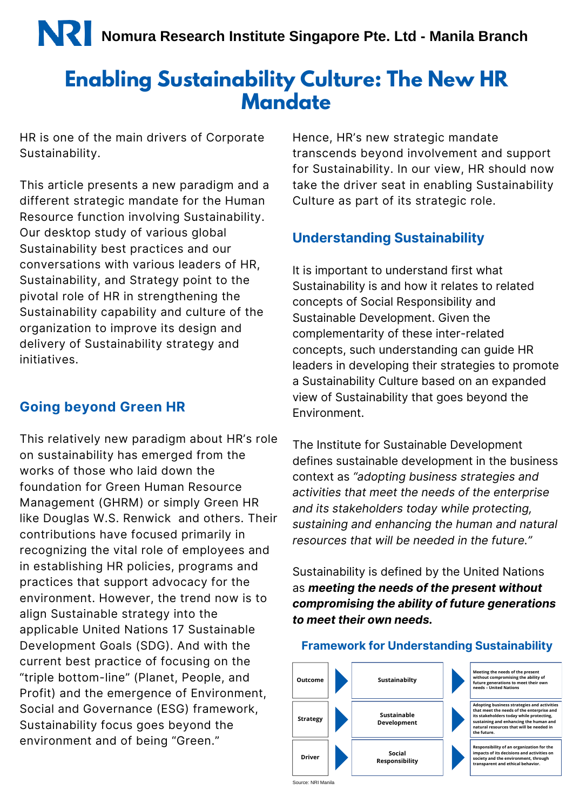## **Enabling Sustainability Culture: The New HR Mandate**

HR is one of the main drivers of Corporate Sustainability.

This article presents a new paradigm and a different strategic mandate for the Human Resource function involving Sustainability. Our desktop study of various global Sustainability best practices and our conversations with various leaders of HR, Sustainability, and Strategy point to the pivotal role of HR in strengthening the Sustainability capability and culture of the organization to improve its design and delivery of Sustainability strategy and initiatives.

#### **Going beyond Green HR**

This relatively new paradigm about HR's role on sustainability has emerged from the works of those who laid down the foundation for Green Human Resource Management (GHRM) or simply Green HR like Douglas W.S. Renwick and others. Their contributions have focused primarily in recognizing the vital role of employees and in establishing HR policies, programs and practices that support advocacy for the environment. However, the trend now is to align Sustainable strategy into the applicable United Nations 17 Sustainable Development Goals (SDG). And with the current best practice of focusing on the "triple bottom-line" (Planet, People, and Profit) and the emergence of Environment, Social and Governance (ESG) framework, Sustainability focus goes beyond the environment and of being "Green."

Hence, HR's new strategic mandate transcends beyond involvement and support for Sustainability. In our view, HR should now take the driver seat in enabling Sustainability Culture as part of its strategic role.

#### **Understanding Sustainability**

It is important to understand first what Sustainability is and how it relates to related concepts of Social Responsibility and Sustainable Development. Given the complementarity of these inter-related concepts, such understanding can guide HR leaders in developing their strategies to promote a Sustainability Culture based on an expanded view of Sustainability that goes beyond the Environment.

The Institute for Sustainable Development defines sustainable development in the business context as *"adopting business strategies and activities that meet the needs of the enterprise and its stakeholders today while protecting, sustaining and enhancing the human and natural resources that will be needed in the future."*

Sustainability is defined by the United Nations as *meeting the needs of the present without compromising the ability of future generations to meet their own needs.*

#### **Framework for Understanding Sustainability**

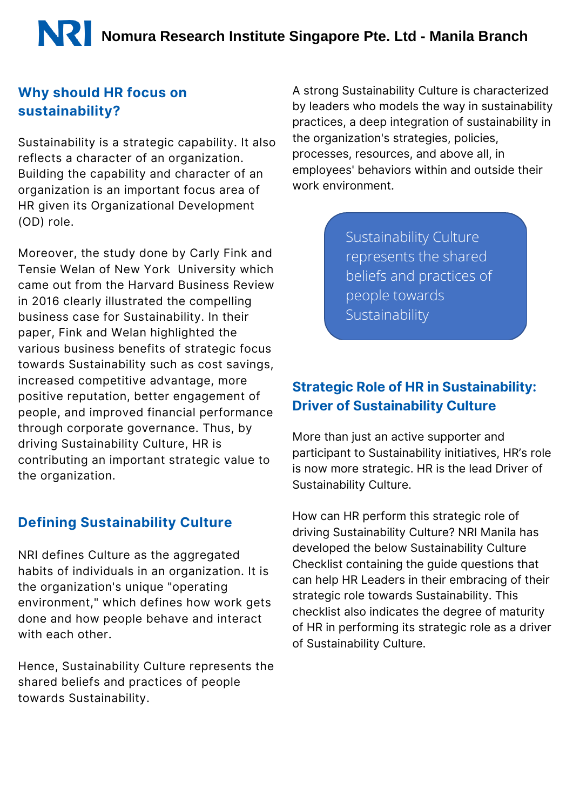# **Nomura Research Institute Singapore Pte. Ltd - Manila Branch**

#### **Why should HR focus on sustainability?**

Sustainability is a strategic capability. It also reflects a character of an organization. Building the capability and character of an organization is an important focus area of HR given its Organizational Development (OD) role.

Moreover, the study done by Carly Fink and Tensie Welan of New York University which came out from the Harvard Business Review in 2016 clearly illustrated the compelling business case for Sustainability. In their paper, Fink and Welan highlighted the various business benefits of strategic focus towards Sustainability such as cost savings, increased competitive advantage, more positive reputation, better engagement of people, and improved financial performance through corporate governance. Thus, by driving Sustainability Culture, HR is contributing an important strategic value to the organization.

#### **Defining Sustainability Culture**

NRI defines Culture as the aggregated habits of individuals in an organization. It is the organization's unique "operating environment," which defines how work gets done and how people behave and interact with each other.

Hence, Sustainability Culture represents the shared beliefs and practices of people towards Sustainability.

A strong Sustainability Culture is characterized by leaders who models the way in sustainability practices, a deep integration of sustainability in the organization's strategies, policies, processes, resources, and above all, in employees' behaviors within and outside their work environment.

> Sustainability Culture represents the shared beliefs and practices of people towards Sustainability

#### **Strategic Role of HR in Sustainability: Driver of Sustainability Culture**

More than just an active supporter and participant to Sustainability initiatives, HR's role is now more strategic. HR is the lead Driver of Sustainability Culture.

How can HR perform this strategic role of driving Sustainability Culture? NRI Manila has developed the below Sustainability Culture Checklist containing the guide questions that can help HR Leaders in their embracing of their strategic role towards Sustainability. This checklist also indicates the degree of maturity of HR in performing its strategic role as a driver of Sustainability Culture.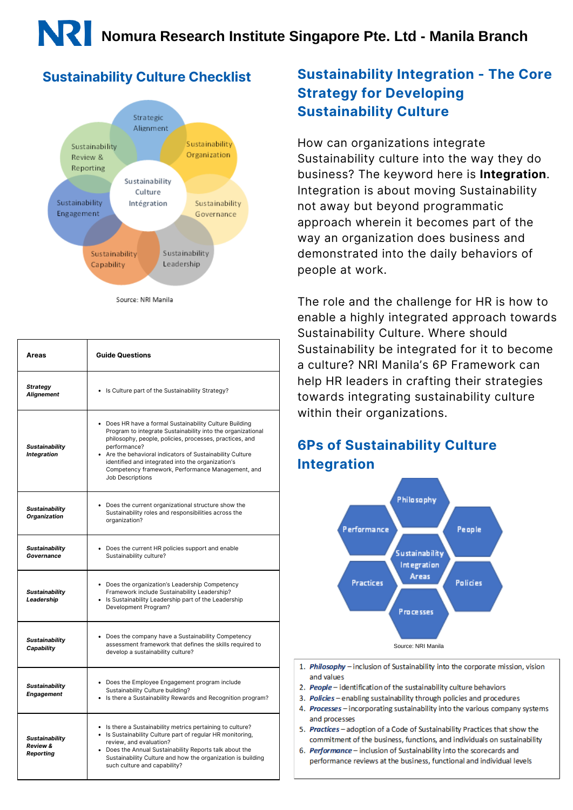

Source: NRI Manila

| Areas                                                     | <b>Guide Questions</b>                                                                                                                                                                                                                                                                                                                                                                     |
|-----------------------------------------------------------|--------------------------------------------------------------------------------------------------------------------------------------------------------------------------------------------------------------------------------------------------------------------------------------------------------------------------------------------------------------------------------------------|
| <b>Strategy</b><br><b>Alignement</b>                      | • Is Culture part of the Sustainability Strategy?                                                                                                                                                                                                                                                                                                                                          |
| <b>Sustainability</b><br>Integration                      | • Does HR have a formal Sustainability Culture Building<br>Program to integrate Sustainability into the organizational<br>philosophy, people, policies, processes, practices, and<br>performance?<br>Are the behavioral indicators of Sustainability Culture<br>identified and integrated into the organization's<br>Competency framework, Performance Management, and<br>Job Descriptions |
| <b>Sustainability</b><br>Organization                     | • Does the current organizational structure show the<br>Sustainability roles and responsibilities across the<br>organization?                                                                                                                                                                                                                                                              |
| <b>Sustainability</b><br>Governance                       | • Does the current HR policies support and enable<br>Sustainability culture?                                                                                                                                                                                                                                                                                                               |
| <b>Sustainability</b><br>Leadership                       | • Does the organization's Leadership Competency<br>Framework include Sustainability Leadership?<br>• Is Sustainability Leadership part of the Leadership<br>Development Program?                                                                                                                                                                                                           |
| <b>Sustainability</b><br>Capability                       | • Does the company have a Sustainability Competency<br>assessment framework that defines the skills required to<br>develop a sustainability culture?                                                                                                                                                                                                                                       |
| <b>Sustainability</b><br>Engagement                       | • Does the Employee Engagement program include<br>Sustainability Culture building?<br>• Is there a Sustainability Rewards and Recognition program?                                                                                                                                                                                                                                         |
| <b>Sustainability</b><br><b>Review &amp;</b><br>Reporting | • Is there a Sustainability metrics pertaining to culture?<br>• Is Sustainability Culture part of regular HR monitoring,<br>review, and evaluation?<br>• Does the Annual Sustainability Reports talk about the<br>Sustainability Culture and how the organization is building<br>such culture and capability?                                                                              |

### **Sustainability Culture Checklist Sustainability Integration - The Core Strategy for Developing Sustainability Culture**

How can organizations integrate Sustainability culture into the way they do business? The keyword here is **Integration**. Integration is about moving Sustainability not away but beyond programmatic approach wherein it becomes part of the way an organization does business and demonstrated into the daily behaviors of people at work.

The role and the challenge for HR is how to enable a highly integrated approach towards Sustainability Culture. Where should Sustainability be integrated for it to become a culture? NRI Manila's 6P Framework can help HR leaders in crafting their strategies towards integrating sustainability culture within their organizations.

### **6Ps of Sustainability Culture Integration**



- 1. Philosophy inclusion of Sustainability into the corporate mission, vision and values
- 2. People identification of the sustainability culture behaviors
- 3. Policies enabling sustainability through policies and procedures
- 4. Processes incorporating sustainability into the various company systems and processes
- 5. Practices adoption of a Code of Sustainability Practices that show the commitment of the business, functions, and individuals on sustainability
- 6. Performance inclusion of Sustainability into the scorecards and performance reviews at the business, functional and individual levels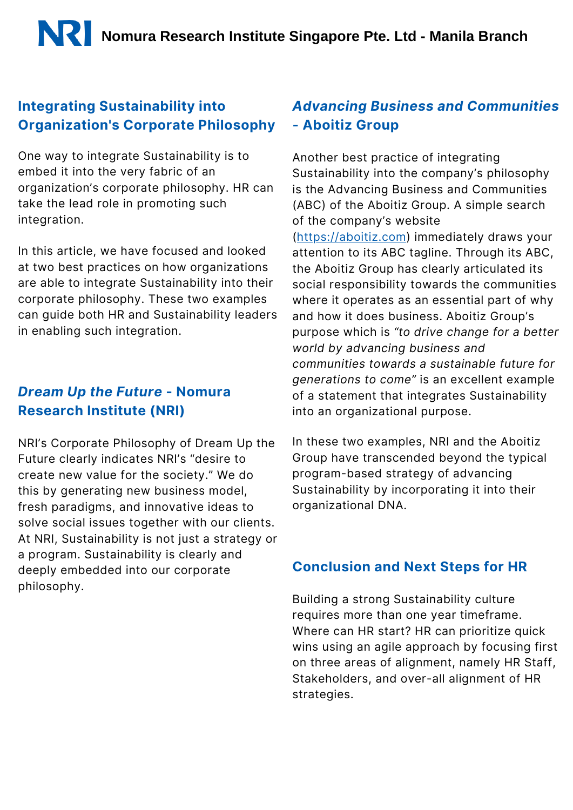#### **Integrating Sustainability into Organization's Corporate Philosophy**

One way to integrate Sustainability is to embed it into the very fabric of an organization's corporate philosophy. HR can take the lead role in promoting such integration.

In this article, we have focused and looked at two best practices on how organizations are able to integrate Sustainability into their corporate philosophy. These two examples can guide both HR and Sustainability leaders in enabling such integration.

#### *Dream Up the Future* **- Nomura Research Institute (NRI)**

NRI's Corporate Philosophy of Dream Up the Future clearly indicates NRI's "desire to create new value for the society." We do this by generating new business model, fresh paradigms, and innovative ideas to solve social issues together with our clients. At NRI, Sustainability is not just a strategy or a program. Sustainability is clearly and deeply embedded into our corporate philosophy.

#### *Advancing Business and Communities -* **Aboitiz Group**

Another best practice of integrating Sustainability into the company's philosophy is the Advancing Business and Communities (ABC) of the Aboitiz Group. A simple search of the company's website [\(https://aboitiz.com\)](https://aboitiz.com/) immediately draws your attention to its ABC tagline. Through its ABC, the Aboitiz Group has clearly articulated its social responsibility towards the communities where it operates as an essential part of why and how it does business. Aboitiz Group's purpose which is *"to drive change for a better world by advancing business and communities towards a sustainable future for generations to come"* is an excellent example of a statement that integrates Sustainability into an organizational purpose.

In these two examples, NRI and the Aboitiz Group have transcended beyond the typical program-based strategy of advancing Sustainability by incorporating it into their organizational DNA.

#### **Conclusion and Next Steps for HR**

Building a strong Sustainability culture requires more than one year timeframe. Where can HR start? HR can prioritize quick wins using an agile approach by focusing first on three areas of alignment, namely HR Staff, Stakeholders, and over-all alignment of HR strategies.